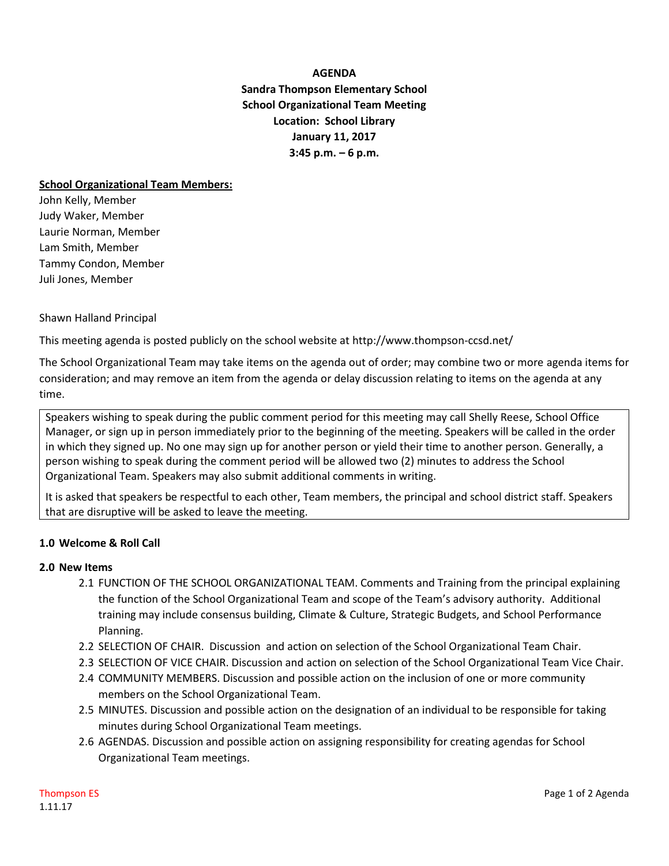**AGENDA Sandra Thompson Elementary School School Organizational Team Meeting Location: School Library January 11, 2017 3:45 p.m. – 6 p.m.**

#### **School Organizational Team Members:**

John Kelly, Member Judy Waker, Member Laurie Norman, Member Lam Smith, Member Tammy Condon, Member Juli Jones, Member

### Shawn Halland Principal

This meeting agenda is posted publicly on the school website at http://www.thompson-ccsd.net/

The School Organizational Team may take items on the agenda out of order; may combine two or more agenda items for consideration; and may remove an item from the agenda or delay discussion relating to items on the agenda at any time.

Speakers wishing to speak during the public comment period for this meeting may call Shelly Reese, School Office Manager, or sign up in person immediately prior to the beginning of the meeting. Speakers will be called in the order in which they signed up. No one may sign up for another person or yield their time to another person. Generally, a person wishing to speak during the comment period will be allowed two (2) minutes to address the School Organizational Team. Speakers may also submit additional comments in writing.

It is asked that speakers be respectful to each other, Team members, the principal and school district staff. Speakers that are disruptive will be asked to leave the meeting.

# **1.0 Welcome & Roll Call**

# **2.0 New Items**

- 2.1 FUNCTION OF THE SCHOOL ORGANIZATIONAL TEAM. Comments and Training from the principal explaining the function of the School Organizational Team and scope of the Team's advisory authority. Additional training may include consensus building, Climate & Culture, Strategic Budgets, and School Performance Planning.
- 2.2 SELECTION OF CHAIR. Discussion and action on selection of the School Organizational Team Chair.
- 2.3 SELECTION OF VICE CHAIR. Discussion and action on selection of the School Organizational Team Vice Chair.
- 2.4 COMMUNITY MEMBERS. Discussion and possible action on the inclusion of one or more community members on the School Organizational Team.
- 2.5 MINUTES. Discussion and possible action on the designation of an individual to be responsible for taking minutes during School Organizational Team meetings.
- 2.6 AGENDAS. Discussion and possible action on assigning responsibility for creating agendas for School Organizational Team meetings.